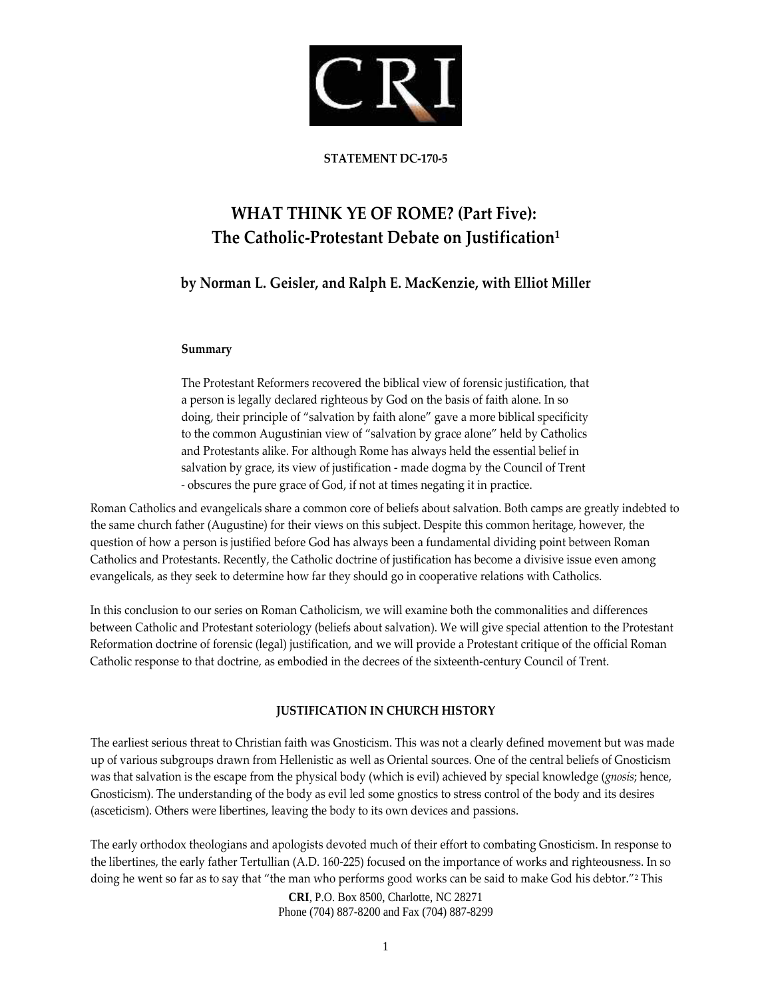

#### **STATEMENT DC‐170‐5**

# **WHAT THINK YE OF ROME? (Part Five): The Catholic‐Protestant Debate on Justification1**

## **by Norman L. Geisler, and Ralph E. MacKenzie, with Elliot Miller**

#### **Summary**

The Protestant Reformers recovered the biblical view of forensic justification, that a person is legally declared righteous by God on the basis of faith alone. In so doing, their principle of "salvation by faith alone" gave a more biblical specificity to the common Augustinian view of "salvation by grace alone" held by Catholics and Protestants alike. For although Rome has always held the essential belief in salvation by grace, its view of justification ‐ made dogma by the Council of Trent ‐ obscures the pure grace of God, if not at times negating it in practice.

Roman Catholics and evangelicals share a common core of beliefs about salvation. Both camps are greatly indebted to the same church father (Augustine) for their views on this subject. Despite this common heritage, however, the question of how a person is justified before God has always been a fundamental dividing point between Roman Catholics and Protestants. Recently, the Catholic doctrine of justification has become a divisive issue even among evangelicals, as they seek to determine how far they should go in cooperative relations with Catholics.

In this conclusion to our series on Roman Catholicism, we will examine both the commonalities and differences between Catholic and Protestant soteriology (beliefs about salvation). We will give special attention to the Protestant Reformation doctrine of forensic (legal) justification, and we will provide a Protestant critique of the official Roman Catholic response to that doctrine, as embodied in the decrees of the sixteenth‐century Council of Trent.

## **JUSTIFICATION IN CHURCH HISTORY**

The earliest serious threat to Christian faith was Gnosticism. This was not a clearly defined movement but was made up of various subgroups drawn from Hellenistic as well as Oriental sources. One of the central beliefs of Gnosticism was that salvation is the escape from the physical body (which is evil) achieved by special knowledge (*gnosis*; hence, Gnosticism). The understanding of the body as evil led some gnostics to stress control of the body and its desires (asceticism). Others were libertines, leaving the body to its own devices and passions.

The early orthodox theologians and apologists devoted much of their effort to combating Gnosticism. In response to the libertines, the early father Tertullian (A.D. 160‐225) focused on the importance of works and righteousness. In so doing he went so far as to say that "the man who performs good works can be said to make God his debtor."2 This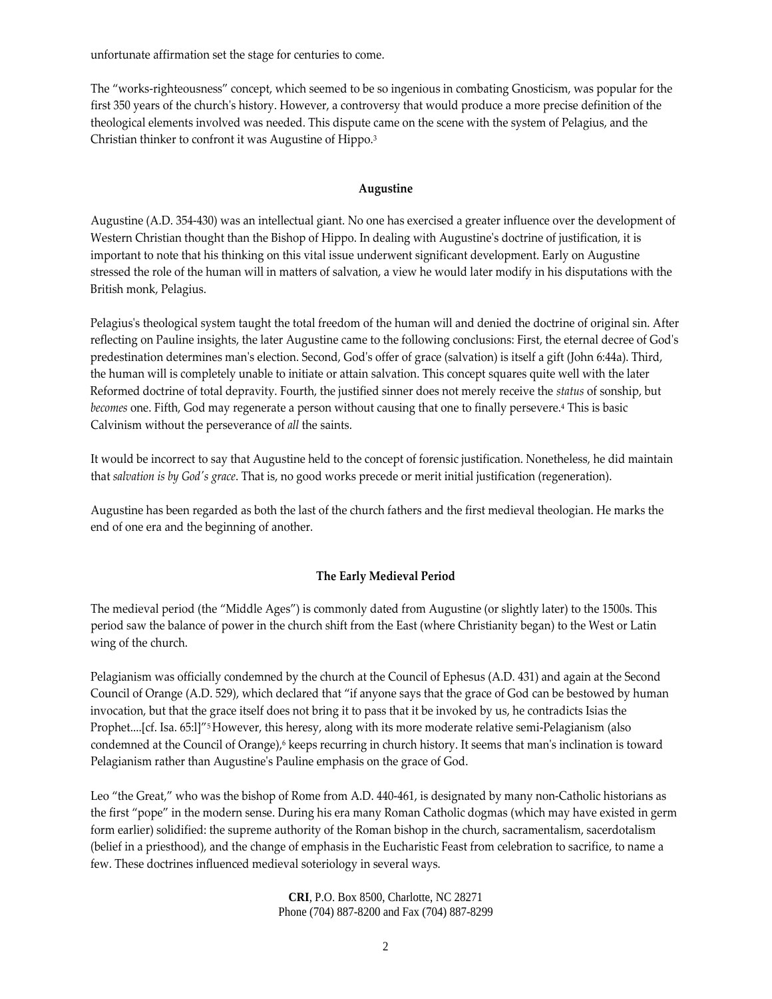unfortunate affirmation set the stage for centuries to come.

The "works‐righteousness" concept, which seemed to be so ingenious in combating Gnosticism, was popular for the first 350 years of the church's history. However, a controversy that would produce a more precise definition of the theological elements involved was needed. This dispute came on the scene with the system of Pelagius, and the Christian thinker to confront it was Augustine of Hippo.3

#### **Augustine**

Augustine (A.D. 354‐430) was an intellectual giant. No one has exercised a greater influence over the development of Western Christian thought than the Bishop of Hippo. In dealing with Augustine's doctrine of justification, it is important to note that his thinking on this vital issue underwent significant development. Early on Augustine stressed the role of the human will in matters of salvation, a view he would later modify in his disputations with the British monk, Pelagius.

Pelagius's theological system taught the total freedom of the human will and denied the doctrine of original sin. After reflecting on Pauline insights, the later Augustine came to the following conclusions: First, the eternal decree of Godʹs predestination determines manʹs election. Second, Godʹs offer of grace (salvation) is itself a gift (John 6:44a). Third, the human will is completely unable to initiate or attain salvation. This concept squares quite well with the later Reformed doctrine of total depravity. Fourth, the justified sinner does not merely receive the *status* of sonship, but *becomes* one. Fifth, God may regenerate a person without causing that one to finally persevere.4 This is basic Calvinism without the perseverance of *all* the saints.

It would be incorrect to say that Augustine held to the concept of forensic justification. Nonetheless, he did maintain that *salvation is by Godʹs grace*. That is, no good works precede or merit initial justification (regeneration).

Augustine has been regarded as both the last of the church fathers and the first medieval theologian. He marks the end of one era and the beginning of another.

## **The Early Medieval Period**

The medieval period (the "Middle Ages") is commonly dated from Augustine (or slightly later) to the 1500s. This period saw the balance of power in the church shift from the East (where Christianity began) to the West or Latin wing of the church.

Pelagianism was officially condemned by the church at the Council of Ephesus (A.D. 431) and again at the Second Council of Orange (A.D. 529), which declared that "if anyone says that the grace of God can be bestowed by human invocation, but that the grace itself does not bring it to pass that it be invoked by us, he contradicts Isias the Prophet....[cf. Isa. 65:l]"<sup>5</sup> However, this heresy, along with its more moderate relative semi-Pelagianism (also condemned at the Council of Orange),<sup>6</sup> keeps recurring in church history. It seems that man's inclination is toward Pelagianism rather than Augustine's Pauline emphasis on the grace of God.

Leo "the Great," who was the bishop of Rome from A.D. 440-461, is designated by many non-Catholic historians as the first "pope" in the modern sense. During his era many Roman Catholic dogmas (which may have existed in germ form earlier) solidified: the supreme authority of the Roman bishop in the church, sacramentalism, sacerdotalism (belief in a priesthood), and the change of emphasis in the Eucharistic Feast from celebration to sacrifice, to name a few. These doctrines influenced medieval soteriology in several ways.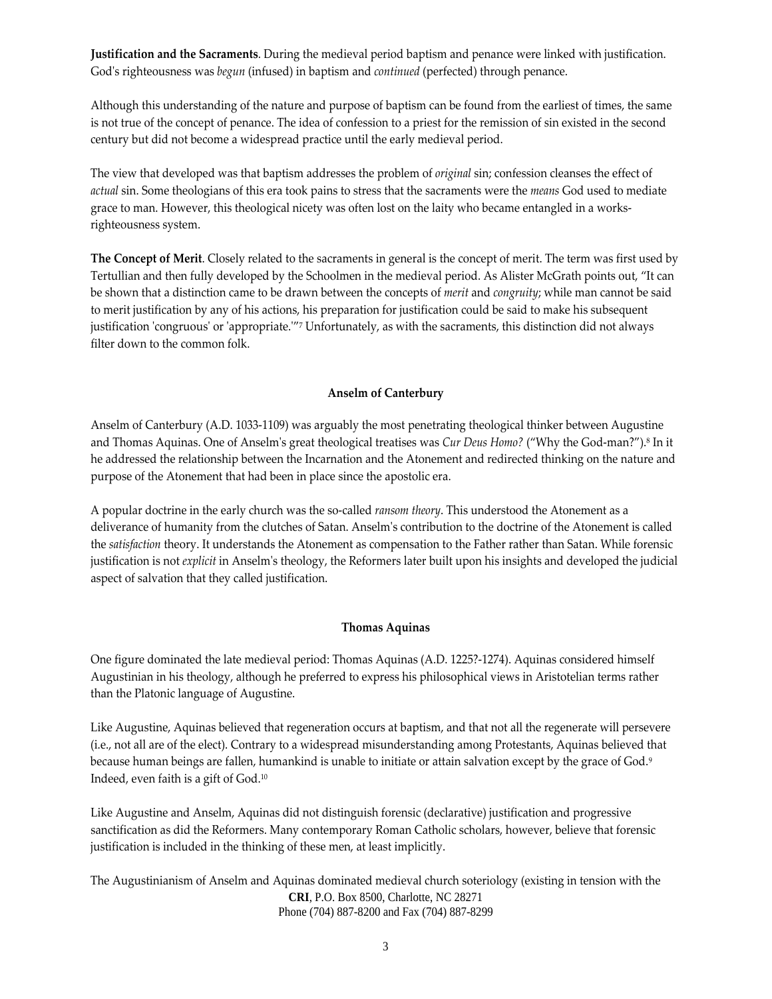**Justification and the Sacraments**. During the medieval period baptism and penance were linked with justification. God's righteousness was *begun* (infused) in baptism and *continued* (perfected) through penance.

Although this understanding of the nature and purpose of baptism can be found from the earliest of times, the same is not true of the concept of penance. The idea of confession to a priest for the remission of sin existed in the second century but did not become a widespread practice until the early medieval period.

The view that developed was that baptism addresses the problem of *original* sin; confession cleanses the effect of *actual* sin. Some theologians of this era took pains to stress that the sacraments were the *means* God used to mediate grace to man. However, this theological nicety was often lost on the laity who became entangled in a worksrighteousness system.

**The Concept of Merit**. Closely related to the sacraments in general is the concept of merit. The term was first used by Tertullian and then fully developed by the Schoolmen in the medieval period. As Alister McGrath points out, "It can be shown that a distinction came to be drawn between the concepts of *merit* and *congruity*; while man cannot be said to merit justification by any of his actions, his preparation for justification could be said to make his subsequent justification 'congruous' or 'appropriate."<sup>7</sup> Unfortunately, as with the sacraments, this distinction did not always filter down to the common folk.

#### **Anselm of Canterbury**

Anselm of Canterbury (A.D. 1033‐1109) was arguably the most penetrating theological thinker between Augustine and Thomas Aquinas. One of Anselmʹs great theological treatises was *Cur Deus Homo?* ("Why the God‐man?").8 In it he addressed the relationship between the Incarnation and the Atonement and redirected thinking on the nature and purpose of the Atonement that had been in place since the apostolic era.

A popular doctrine in the early church was the so‐called *ransom theory*. This understood the Atonement as a deliverance of humanity from the clutches of Satan. Anselmʹs contribution to the doctrine of the Atonement is called the *satisfaction* theory. It understands the Atonement as compensation to the Father rather than Satan. While forensic justification is not *explicit* in Anselmʹs theology, the Reformers later built upon his insights and developed the judicial aspect of salvation that they called justification.

#### **Thomas Aquinas**

One figure dominated the late medieval period: Thomas Aquinas (A.D. 1225?‐1274). Aquinas considered himself Augustinian in his theology, although he preferred to express his philosophical views in Aristotelian terms rather than the Platonic language of Augustine.

Like Augustine, Aquinas believed that regeneration occurs at baptism, and that not all the regenerate will persevere (i.e., not all are of the elect). Contrary to a widespread misunderstanding among Protestants, Aquinas believed that because human beings are fallen, humankind is unable to initiate or attain salvation except by the grace of God.<sup>9</sup> Indeed, even faith is a gift of God.10

Like Augustine and Anselm, Aquinas did not distinguish forensic (declarative) justification and progressive sanctification as did the Reformers. Many contemporary Roman Catholic scholars, however, believe that forensic justification is included in the thinking of these men, at least implicitly.

**CRI**, P.O. Box 8500, Charlotte, NC 28271 Phone (704) 887-8200 and Fax (704) 887-8299 The Augustinianism of Anselm and Aquinas dominated medieval church soteriology (existing in tension with the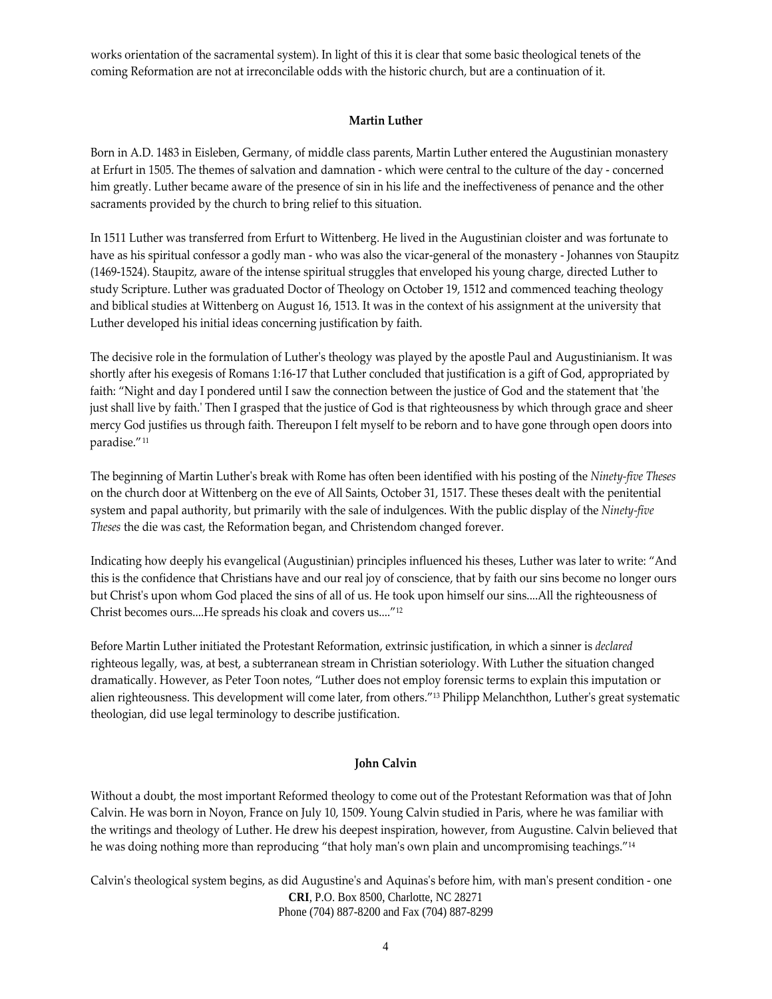works orientation of the sacramental system). In light of this it is clear that some basic theological tenets of the coming Reformation are not at irreconcilable odds with the historic church, but are a continuation of it.

#### **Martin Luther**

Born in A.D. 1483 in Eisleben, Germany, of middle class parents, Martin Luther entered the Augustinian monastery at Erfurt in 1505. The themes of salvation and damnation ‐ which were central to the culture of the day ‐ concerned him greatly. Luther became aware of the presence of sin in his life and the ineffectiveness of penance and the other sacraments provided by the church to bring relief to this situation.

In 1511 Luther was transferred from Erfurt to Wittenberg. He lived in the Augustinian cloister and was fortunate to have as his spiritual confessor a godly man - who was also the vicar-general of the monastery - Johannes von Staupitz (1469-1524). Staupitz, aware of the intense spiritual struggles that enveloped his young charge, directed Luther to study Scripture. Luther was graduated Doctor of Theology on October 19, 1512 and commenced teaching theology and biblical studies at Wittenberg on August 16, 1513. It was in the context of his assignment at the university that Luther developed his initial ideas concerning justification by faith.

The decisive role in the formulation of Lutherʹs theology was played by the apostle Paul and Augustinianism. It was shortly after his exegesis of Romans 1:16‐17 that Luther concluded that justification is a gift of God, appropriated by faith: "Night and day I pondered until I saw the connection between the justice of God and the statement that 'the just shall live by faith.ʹ Then I grasped that the justice of God is that righteousness by which through grace and sheer mercy God justifies us through faith. Thereupon I felt myself to be reborn and to have gone through open doors into paradise."11

The beginning of Martin Lutherʹs break with Rome has often been identified with his posting of the *Ninety‐five Theses* on the church door at Wittenberg on the eve of All Saints, October 31, 1517. These theses dealt with the penitential system and papal authority, but primarily with the sale of indulgences. With the public display of the *Ninety‐five Theses* the die was cast, the Reformation began, and Christendom changed forever.

Indicating how deeply his evangelical (Augustinian) principles influenced his theses, Luther was later to write: "And this is the confidence that Christians have and our real joy of conscience, that by faith our sins become no longer ours but Christ's upon whom God placed the sins of all of us. He took upon himself our sins....All the righteousness of Christ becomes ours....He spreads his cloak and covers us...."12

Before Martin Luther initiated the Protestant Reformation, extrinsic justification, in which a sinner is *declared* righteous legally, was, at best, a subterranean stream in Christian soteriology. With Luther the situation changed dramatically. However, as Peter Toon notes, "Luther does not employ forensic terms to explain this imputation or alien righteousness. This development will come later, from others."<sup>13</sup> Philipp Melanchthon, Luther's great systematic theologian, did use legal terminology to describe justification.

#### **John Calvin**

Without a doubt, the most important Reformed theology to come out of the Protestant Reformation was that of John Calvin. He was born in Noyon, France on July 10, 1509. Young Calvin studied in Paris, where he was familiar with the writings and theology of Luther. He drew his deepest inspiration, however, from Augustine. Calvin believed that he was doing nothing more than reproducing "that holy man's own plain and uncompromising teachings."<sup>14</sup>

**CRI**, P.O. Box 8500, Charlotte, NC 28271 Phone (704) 887-8200 and Fax (704) 887-8299 Calvinʹs theological system begins, as did Augustineʹs and Aquinasʹs before him, with manʹs present condition ‐ one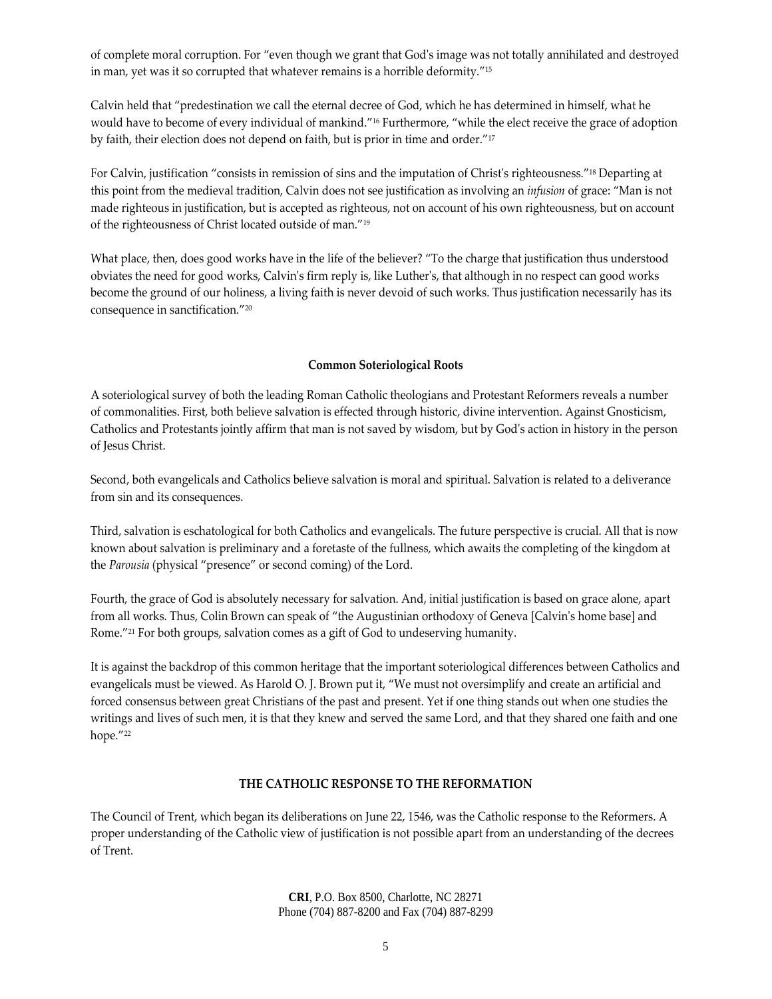of complete moral corruption. For "even though we grant that Godʹs image was not totally annihilated and destroyed in man, yet was it so corrupted that whatever remains is a horrible deformity."15

Calvin held that "predestination we call the eternal decree of God, which he has determined in himself, what he would have to become of every individual of mankind."16 Furthermore, "while the elect receive the grace of adoption by faith, their election does not depend on faith, but is prior in time and order."17

For Calvin, justification "consists in remission of sins and the imputation of Christ's righteousness."<sup>18</sup> Departing at this point from the medieval tradition, Calvin does not see justification as involving an *infusion* of grace: "Man is not made righteous in justification, but is accepted as righteous, not on account of his own righteousness, but on account of the righteousness of Christ located outside of man."19

What place, then, does good works have in the life of the believer? "To the charge that justification thus understood obviates the need for good works, Calvinʹs firm reply is, like Lutherʹs, that although in no respect can good works become the ground of our holiness, a living faith is never devoid of such works. Thus justification necessarily has its consequence in sanctification."20

## **Common Soteriological Roots**

A soteriological survey of both the leading Roman Catholic theologians and Protestant Reformers reveals a number of commonalities. First, both believe salvation is effected through historic, divine intervention. Against Gnosticism, Catholics and Protestants jointly affirm that man is not saved by wisdom, but by Godʹs action in history in the person of Jesus Christ.

Second, both evangelicals and Catholics believe salvation is moral and spiritual. Salvation is related to a deliverance from sin and its consequences.

Third, salvation is eschatological for both Catholics and evangelicals. The future perspective is crucial. All that is now known about salvation is preliminary and a foretaste of the fullness, which awaits the completing of the kingdom at the *Parousia* (physical "presence" or second coming) of the Lord.

Fourth, the grace of God is absolutely necessary for salvation. And, initial justification is based on grace alone, apart from all works. Thus, Colin Brown can speak of "the Augustinian orthodoxy of Geneva [Calvin's home base] and Rome."21 For both groups, salvation comes as a gift of God to undeserving humanity.

It is against the backdrop of this common heritage that the important soteriological differences between Catholics and evangelicals must be viewed. As Harold O. J. Brown put it, "We must not oversimplify and create an artificial and forced consensus between great Christians of the past and present. Yet if one thing stands out when one studies the writings and lives of such men, it is that they knew and served the same Lord, and that they shared one faith and one hope."<sup>22</sup>

#### **THE CATHOLIC RESPONSE TO THE REFORMATION**

The Council of Trent, which began its deliberations on June 22, 1546, was the Catholic response to the Reformers. A proper understanding of the Catholic view of justification is not possible apart from an understanding of the decrees of Trent.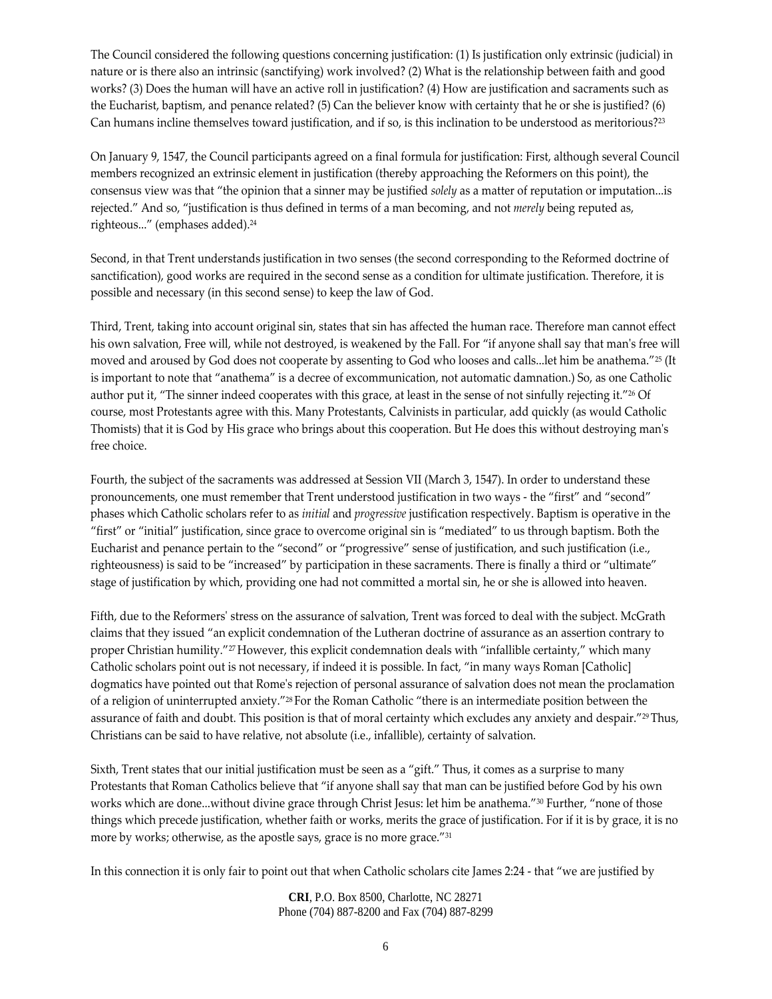The Council considered the following questions concerning justification: (1) Is justification only extrinsic (judicial) in nature or is there also an intrinsic (sanctifying) work involved? (2) What is the relationship between faith and good works? (3) Does the human will have an active roll in justification? (4) How are justification and sacraments such as the Eucharist, baptism, and penance related? (5) Can the believer know with certainty that he or she is justified? (6) Can humans incline themselves toward justification, and if so, is this inclination to be understood as meritorious?23

On January 9, 1547, the Council participants agreed on a final formula for justification: First, although several Council members recognized an extrinsic element in justification (thereby approaching the Reformers on this point), the consensus view was that "the opinion that a sinner may be justified *solely* as a matter of reputation or imputation...is rejected." And so, "justification is thus defined in terms of a man becoming, and not *merely* being reputed as, righteous..." (emphases added).24

Second, in that Trent understands justification in two senses (the second corresponding to the Reformed doctrine of sanctification), good works are required in the second sense as a condition for ultimate justification. Therefore, it is possible and necessary (in this second sense) to keep the law of God.

Third, Trent, taking into account original sin, states that sin has affected the human race. Therefore man cannot effect his own salvation, Free will, while not destroyed, is weakened by the Fall. For "if anyone shall say that man's free will moved and aroused by God does not cooperate by assenting to God who looses and calls...let him be anathema."25 (It is important to note that "anathema" is a decree of excommunication, not automatic damnation.) So, as one Catholic author put it, "The sinner indeed cooperates with this grace, at least in the sense of not sinfully rejecting it."26 Of course, most Protestants agree with this. Many Protestants, Calvinists in particular, add quickly (as would Catholic Thomists) that it is God by His grace who brings about this cooperation. But He does this without destroying manʹs free choice.

Fourth, the subject of the sacraments was addressed at Session VII (March 3, 1547). In order to understand these pronouncements, one must remember that Trent understood justification in two ways ‐ the "first" and "second" phases which Catholic scholars refer to as *initial* and *progressive* justification respectively. Baptism is operative in the "first" or "initial" justification, since grace to overcome original sin is "mediated" to us through baptism. Both the Eucharist and penance pertain to the "second" or "progressive" sense of justification, and such justification (i.e., righteousness) is said to be "increased" by participation in these sacraments. There is finally a third or "ultimate" stage of justification by which, providing one had not committed a mortal sin, he or she is allowed into heaven.

Fifth, due to the Reformers' stress on the assurance of salvation, Trent was forced to deal with the subject. McGrath claims that they issued "an explicit condemnation of the Lutheran doctrine of assurance as an assertion contrary to proper Christian humility."<sup>27</sup> However, this explicit condemnation deals with "infallible certainty," which many Catholic scholars point out is not necessary, if indeed it is possible. In fact, "in many ways Roman [Catholic] dogmatics have pointed out that Rome's rejection of personal assurance of salvation does not mean the proclamation of a religion of uninterrupted anxiety."28 For the Roman Catholic "there is an intermediate position between the assurance of faith and doubt. This position is that of moral certainty which excludes any anxiety and despair."<sup>29</sup> Thus, Christians can be said to have relative, not absolute (i.e., infallible), certainty of salvation.

Sixth, Trent states that our initial justification must be seen as a "gift." Thus, it comes as a surprise to many Protestants that Roman Catholics believe that "if anyone shall say that man can be justified before God by his own works which are done...without divine grace through Christ Jesus: let him be anathema."30 Further, "none of those things which precede justification, whether faith or works, merits the grace of justification. For if it is by grace, it is no more by works; otherwise, as the apostle says, grace is no more grace."<sup>31</sup>

In this connection it is only fair to point out that when Catholic scholars cite James 2:24 ‐ that "we are justified by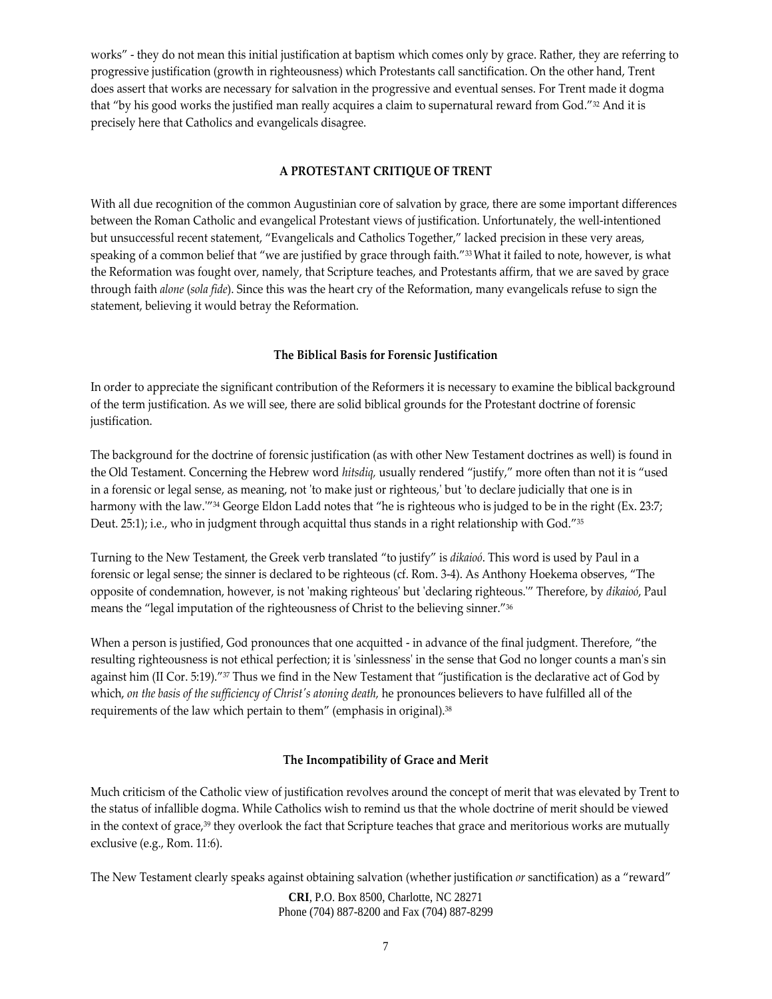works" - they do not mean this initial justification at baptism which comes only by grace. Rather, they are referring to progressive justification (growth in righteousness) which Protestants call sanctification. On the other hand, Trent does assert that works are necessary for salvation in the progressive and eventual senses. For Trent made it dogma that "by his good works the justified man really acquires a claim to supernatural reward from God."32 And it is precisely here that Catholics and evangelicals disagree.

## **A PROTESTANT CRITIQUE OF TRENT**

With all due recognition of the common Augustinian core of salvation by grace, there are some important differences between the Roman Catholic and evangelical Protestant views of justification. Unfortunately, the well-intentioned but unsuccessful recent statement, "Evangelicals and Catholics Together," lacked precision in these very areas, speaking of a common belief that "we are justified by grace through faith."<sup>33</sup>What it failed to note, however, is what the Reformation was fought over, namely, that Scripture teaches, and Protestants affirm, that we are saved by grace through faith *alone* (*sola fide*). Since this was the heart cry of the Reformation, many evangelicals refuse to sign the statement, believing it would betray the Reformation.

## **The Biblical Basis for Forensic Justification**

In order to appreciate the significant contribution of the Reformers it is necessary to examine the biblical background of the term justification. As we will see, there are solid biblical grounds for the Protestant doctrine of forensic justification.

The background for the doctrine of forensic justification (as with other New Testament doctrines as well) is found in the Old Testament. Concerning the Hebrew word *hitsdiq,* usually rendered "justify," more often than not it is "used in a forensic or legal sense, as meaning, not 'to make just or righteous,' but 'to declare judicially that one is in harmony with the law.<sup>*"*34</sup> George Eldon Ladd notes that "he is righteous who is judged to be in the right (Ex. 23:7; Deut. 25:1); i.e., who in judgment through acquittal thus stands in a right relationship with God."35

Turning to the New Testament, the Greek verb translated "to justify" is *dikaioó*. This word is used by Paul in a forensic or legal sense; the sinner is declared to be righteous (cf. Rom. 3‐4). As Anthony Hoekema observes, "The opposite of condemnation, however, is not ʹmaking righteousʹ but ʹdeclaring righteous.ʹ" Therefore, by *dikaioó*, Paul means the "legal imputation of the righteousness of Christ to the believing sinner."36

When a person is justified, God pronounces that one acquitted - in advance of the final judgment. Therefore, "the resulting righteousness is not ethical perfection; it is 'sinlessness' in the sense that God no longer counts a man's sin against him (II Cor. 5:19)."<sup>37</sup> Thus we find in the New Testament that "justification is the declarative act of God by which, *on the basis of the sufficiency of Christʹs atoning death,* he pronounces believers to have fulfilled all of the requirements of the law which pertain to them" (emphasis in original).<sup>38</sup>

## **The Incompatibility of Grace and Merit**

Much criticism of the Catholic view of justification revolves around the concept of merit that was elevated by Trent to the status of infallible dogma. While Catholics wish to remind us that the whole doctrine of merit should be viewed in the context of grace,<sup>39</sup> they overlook the fact that Scripture teaches that grace and meritorious works are mutually exclusive (e.g., Rom. 11:6).

The New Testament clearly speaks against obtaining salvation (whether justification *or* sanctification) as a "reward"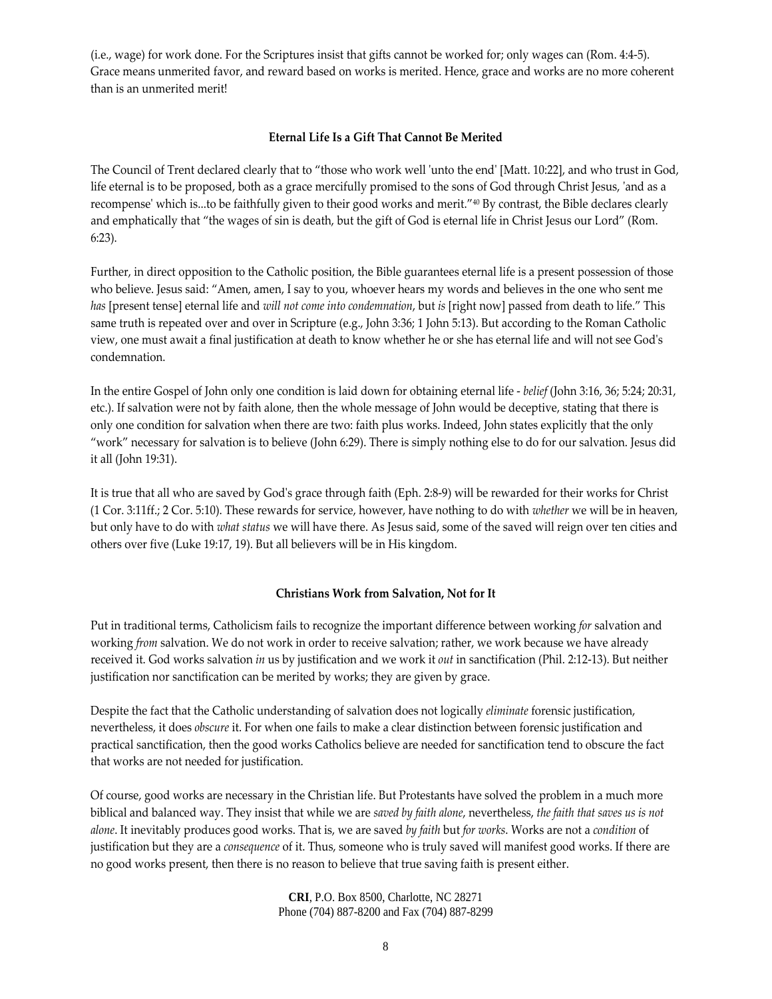(i.e., wage) for work done. For the Scriptures insist that gifts cannot be worked for; only wages can (Rom. 4:4‐5). Grace means unmerited favor, and reward based on works is merited. Hence, grace and works are no more coherent than is an unmerited merit!

## **Eternal Life Is a Gift That Cannot Be Merited**

The Council of Trent declared clearly that to "those who work well ʹunto the endʹ [Matt. 10:22], and who trust in God, life eternal is to be proposed, both as a grace mercifully promised to the sons of God through Christ Jesus, 'and as a recompenseʹ which is...to be faithfully given to their good works and merit."40 By contrast, the Bible declares clearly and emphatically that "the wages of sin is death, but the gift of God is eternal life in Christ Jesus our Lord" (Rom. 6:23).

Further, in direct opposition to the Catholic position, the Bible guarantees eternal life is a present possession of those who believe. Jesus said: "Amen, amen, I say to you, whoever hears my words and believes in the one who sent me *has* [present tense] eternal life and *will not come into condemnation*, but *is* [right now] passed from death to life." This same truth is repeated over and over in Scripture (e.g., John 3:36; 1 John 5:13). But according to the Roman Catholic view, one must await a final justification at death to know whether he or she has eternal life and will not see Godʹs condemnation.

In the entire Gospel of John only one condition is laid down for obtaining eternal life ‐ *belief* (John 3:16, 36; 5:24; 20:31, etc.). If salvation were not by faith alone, then the whole message of John would be deceptive, stating that there is only one condition for salvation when there are two: faith plus works. Indeed, John states explicitly that the only "work" necessary for salvation is to believe (John 6:29). There is simply nothing else to do for our salvation. Jesus did it all (John 19:31).

It is true that all who are saved by God's grace through faith (Eph. 2:8-9) will be rewarded for their works for Christ (1 Cor. 3:11ff.; 2 Cor. 5:10). These rewards for service, however, have nothing to do with *whether* we will be in heaven, but only have to do with *what status* we will have there. As Jesus said, some of the saved will reign over ten cities and others over five (Luke 19:17, 19). But all believers will be in His kingdom.

## **Christians Work from Salvation, Not for It**

Put in traditional terms, Catholicism fails to recognize the important difference between working *for* salvation and working *from* salvation. We do not work in order to receive salvation; rather, we work because we have already received it. God works salvation *in* us by justification and we work it *out* in sanctification (Phil. 2:12‐13). But neither justification nor sanctification can be merited by works; they are given by grace.

Despite the fact that the Catholic understanding of salvation does not logically *eliminate* forensic justification, nevertheless, it does *obscure* it. For when one fails to make a clear distinction between forensic justification and practical sanctification, then the good works Catholics believe are needed for sanctification tend to obscure the fact that works are not needed for justification.

Of course, good works are necessary in the Christian life. But Protestants have solved the problem in a much more biblical and balanced way. They insist that while we are *saved by faith alone*, nevertheless, *the faith that saves us is not alone*. It inevitably produces good works. That is, we are saved *by faith* but *for works*. Works are not a *condition* of justification but they are a *consequence* of it. Thus, someone who is truly saved will manifest good works. If there are no good works present, then there is no reason to believe that true saving faith is present either.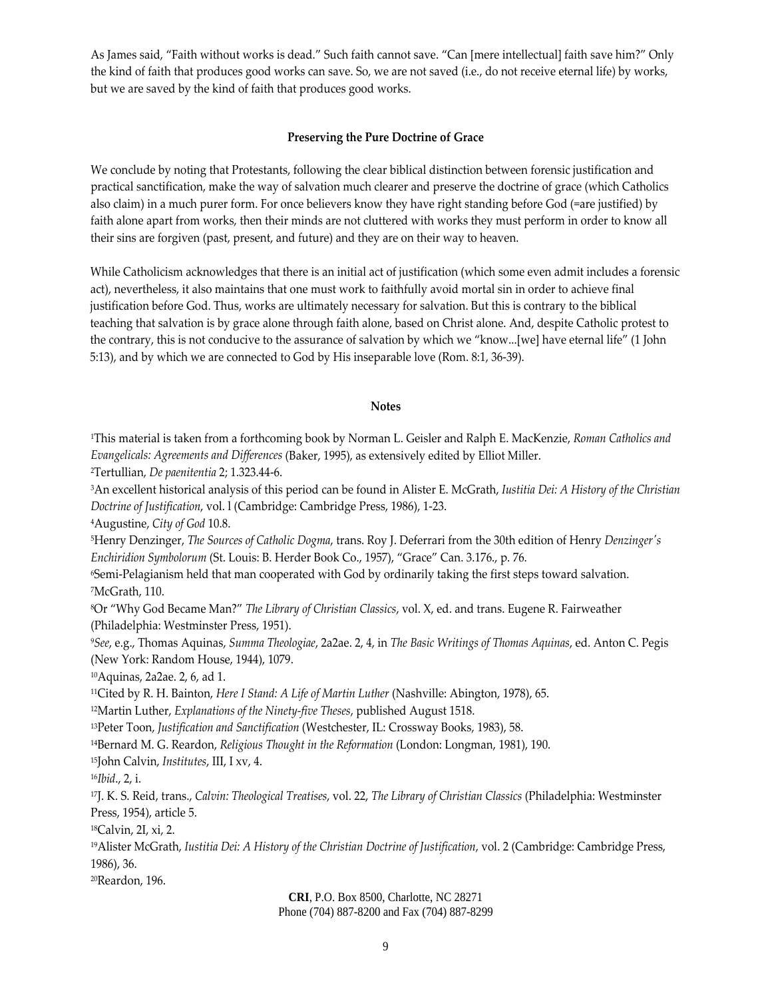As James said, "Faith without works is dead." Such faith cannot save. "Can [mere intellectual] faith save him?" Only the kind of faith that produces good works can save. So, we are not saved (i.e., do not receive eternal life) by works, but we are saved by the kind of faith that produces good works.

#### **Preserving the Pure Doctrine of Grace**

We conclude by noting that Protestants, following the clear biblical distinction between forensic justification and practical sanctification, make the way of salvation much clearer and preserve the doctrine of grace (which Catholics also claim) in a much purer form. For once believers know they have right standing before God (=are justified) by faith alone apart from works, then their minds are not cluttered with works they must perform in order to know all their sins are forgiven (past, present, and future) and they are on their way to heaven.

While Catholicism acknowledges that there is an initial act of justification (which some even admit includes a forensic act), nevertheless, it also maintains that one must work to faithfully avoid mortal sin in order to achieve final justification before God. Thus, works are ultimately necessary for salvation. But this is contrary to the biblical teaching that salvation is by grace alone through faith alone, based on Christ alone. And, despite Catholic protest to the contrary, this is not conducive to the assurance of salvation by which we "know...[we] have eternal life" (1 John 5:13), and by which we are connected to God by His inseparable love (Rom. 8:1, 36‐39).

#### **Notes**

1This material is taken from a forthcoming book by Norman L. Geisler and Ralph E. MacKenzie, *Roman Catholics and Evangelicals: Agreements and Differences* (Baker, 1995), as extensively edited by Elliot Miller.

2Tertullian, *De paenitentia* 2; 1.323.44‐6.

3An excellent historical analysis of this period can be found in Alister E. McGrath, *Iustitia Dei: A History of the Christian Doctrine of Justification*, vol. l (Cambridge: Cambridge Press, 1986), 1‐23.

4Augustine, *City of God* 10.8.

5Henry Denzinger, *The Sources of Catholic Dogma*, trans. Roy J. Deferrari from the 30th edition of Henry *Denzingerʹs Enchiridion Symbolorum* (St. Louis: B. Herder Book Co., 1957), "Grace" Can. 3.176., p. 76.

6Semi‐Pelagianism held that man cooperated with God by ordinarily taking the first steps toward salvation. 7McGrath, 110.

8Or "Why God Became Man?" *The Library of Christian Classics*, vol. X, ed. and trans. Eugene R. Fairweather (Philadelphia: Westminster Press, 1951).

<sup>9</sup>*See*, e.g., Thomas Aquinas, *Summa Theologiae*, 2a2ae. 2, 4, in *The Basic Writings of Thomas Aquinas*, ed. Anton C. Pegis (New York: Random House, 1944), 1079.

10Aquinas, 2a2ae. 2, 6, ad 1.

11Cited by R. H. Bainton, *Here I Stand: A Life of Martin Luther* (Nashville: Abington, 1978), 65.

12Martin Luther, *Explanations of the Ninety‐five Theses*, published August 1518.

13Peter Toon, *Justification and Sanctification* (Westchester, IL: Crossway Books, 1983), 58.

14Bernard M. G. Reardon, *Religious Thought in the Reformation* (London: Longman, 1981), 190.

15John Calvin, *Institutes*, III, I xv, 4.

<sup>16</sup>*Ibid*., 2, i.

17J. K. S. Reid, trans., *Calvin: Theological Treatises*, vol. 22, *The Library of Christian Classics* (Philadelphia: Westminster Press, 1954), article 5.

18Calvin, 2I, xi, 2.

19Alister McGrath, *Iustitia Dei: A History of the Christian Doctrine of Justification*, vol. 2 (Cambridge: Cambridge Press, 1986), 36.

20Reardon, 196.